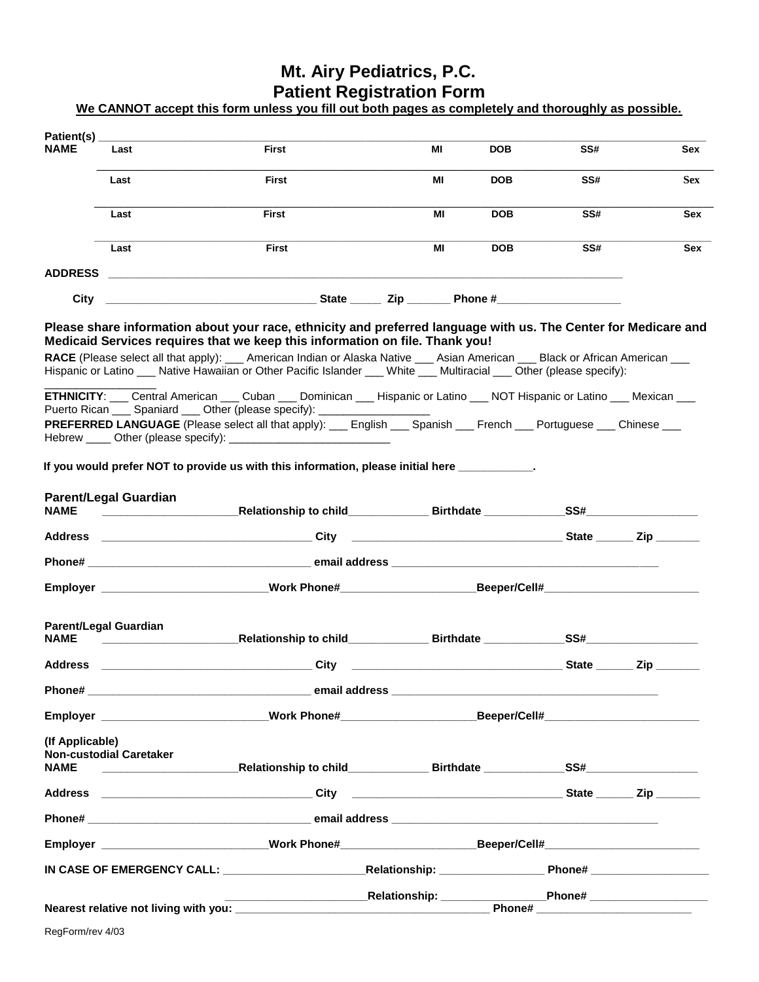## **Mt. Airy Pediatrics, P.C. Patient Registration Form**

**We CANNOT accept this form unless you fill out both pages as completely and thoroughly as possible.** 

| Patient(s)                     |                                                         |                                                                                                                                                                                                                                                                                                                                                                                                                                                                                                                                                                                          |                                                                                                                        |            |     |                                                      |
|--------------------------------|---------------------------------------------------------|------------------------------------------------------------------------------------------------------------------------------------------------------------------------------------------------------------------------------------------------------------------------------------------------------------------------------------------------------------------------------------------------------------------------------------------------------------------------------------------------------------------------------------------------------------------------------------------|------------------------------------------------------------------------------------------------------------------------|------------|-----|------------------------------------------------------|
| <b>NAME</b>                    | Last                                                    | <b>First</b>                                                                                                                                                                                                                                                                                                                                                                                                                                                                                                                                                                             | MI                                                                                                                     | <b>DOB</b> | SS# | Sex                                                  |
|                                | Last                                                    | <b>First</b>                                                                                                                                                                                                                                                                                                                                                                                                                                                                                                                                                                             | MI                                                                                                                     | <b>DOB</b> | SS# | <b>Sex</b>                                           |
|                                | Last                                                    | <b>First</b>                                                                                                                                                                                                                                                                                                                                                                                                                                                                                                                                                                             | МI                                                                                                                     | <b>DOB</b> | SS# | Sex                                                  |
|                                | Last                                                    | <b>First</b>                                                                                                                                                                                                                                                                                                                                                                                                                                                                                                                                                                             | МI                                                                                                                     | <b>DOB</b> | SS# | Sex                                                  |
| <b>ADDRESS</b>                 |                                                         | <u> 1980 - Jan James Santan, masjid a shekara ta 1980 - An tsara ta 1980 - An tsara ta 1980 - An tsara ta 1980 -</u>                                                                                                                                                                                                                                                                                                                                                                                                                                                                     |                                                                                                                        |            |     |                                                      |
| City                           |                                                         |                                                                                                                                                                                                                                                                                                                                                                                                                                                                                                                                                                                          |                                                                                                                        |            |     |                                                      |
|                                |                                                         | Please share information about your race, ethnicity and preferred language with us. The Center for Medicare and<br>Medicaid Services requires that we keep this information on file. Thank you!<br>RACE (Please select all that apply): ___ American Indian or Alaska Native ___ Asian American ___ Black or African American ___<br>Hispanic or Latino ___ Native Hawaiian or Other Pacific Islander ___ White ___ Multiracial ___ Other (please specify):<br>ETHNICITY: ___ Central American ___ Cuban ___ Dominican ___ Hispanic or Latino ___ NOT Hispanic or Latino ___ Mexican ___ |                                                                                                                        |            |     |                                                      |
|                                |                                                         | Puerto Rican ____ Spaniard ____ Other (please specify): __________________<br>PREFERRED LANGUAGE (Please select all that apply): ___ English ___ Spanish ___ French ___ Portuguese ___ Chinese ___                                                                                                                                                                                                                                                                                                                                                                                       |                                                                                                                        |            |     |                                                      |
|                                |                                                         | If you would prefer NOT to provide us with this information, please initial here                                                                                                                                                                                                                                                                                                                                                                                                                                                                                                         |                                                                                                                        |            |     |                                                      |
| <b>NAME</b>                    | <b>Parent/Legal Guardian</b>                            |                                                                                                                                                                                                                                                                                                                                                                                                                                                                                                                                                                                          |                                                                                                                        |            |     |                                                      |
|                                |                                                         |                                                                                                                                                                                                                                                                                                                                                                                                                                                                                                                                                                                          |                                                                                                                        |            |     |                                                      |
|                                |                                                         |                                                                                                                                                                                                                                                                                                                                                                                                                                                                                                                                                                                          |                                                                                                                        |            |     |                                                      |
|                                |                                                         | Employer __________________________Work Phone#____________________Beeper/Cell#_____________________                                                                                                                                                                                                                                                                                                                                                                                                                                                                                      |                                                                                                                        |            |     |                                                      |
| <b>NAME</b>                    | <b>Parent/Legal Guardian</b>                            | Relationship to child <b>Example 19 Birthdate SS#</b> SS#                                                                                                                                                                                                                                                                                                                                                                                                                                                                                                                                |                                                                                                                        |            |     |                                                      |
| Address                        | <u> 1980 - Johann Barbara, martin amerikan basal da</u> | <b>City</b>                                                                                                                                                                                                                                                                                                                                                                                                                                                                                                                                                                              | <u> La componenta de la componenta de la componenta de la componenta de la componenta de la componenta de la compo</u> |            |     | $State$ $\qquad\qquad$ $\mathsf{Zip}$ $\qquad\qquad$ |
|                                |                                                         |                                                                                                                                                                                                                                                                                                                                                                                                                                                                                                                                                                                          |                                                                                                                        |            |     |                                                      |
|                                |                                                         | Employer ___________________________Work Phone#______________________Beeper/Cell#________________________                                                                                                                                                                                                                                                                                                                                                                                                                                                                                |                                                                                                                        |            |     |                                                      |
| (If Applicable)<br><b>NAME</b> | <b>Non-custodial Caretaker</b>                          |                                                                                                                                                                                                                                                                                                                                                                                                                                                                                                                                                                                          |                                                                                                                        |            |     |                                                      |
|                                |                                                         | Address ________________________________City ________________________________State _______ Zip ________                                                                                                                                                                                                                                                                                                                                                                                                                                                                                  |                                                                                                                        |            |     |                                                      |
|                                |                                                         |                                                                                                                                                                                                                                                                                                                                                                                                                                                                                                                                                                                          |                                                                                                                        |            |     |                                                      |
|                                |                                                         | Employer __________________________Work Phone#_________________________Beeper/Cell#_______________________                                                                                                                                                                                                                                                                                                                                                                                                                                                                               |                                                                                                                        |            |     |                                                      |
|                                |                                                         |                                                                                                                                                                                                                                                                                                                                                                                                                                                                                                                                                                                          |                                                                                                                        |            |     |                                                      |
|                                |                                                         |                                                                                                                                                                                                                                                                                                                                                                                                                                                                                                                                                                                          |                                                                                                                        |            |     |                                                      |
|                                |                                                         |                                                                                                                                                                                                                                                                                                                                                                                                                                                                                                                                                                                          |                                                                                                                        |            |     |                                                      |